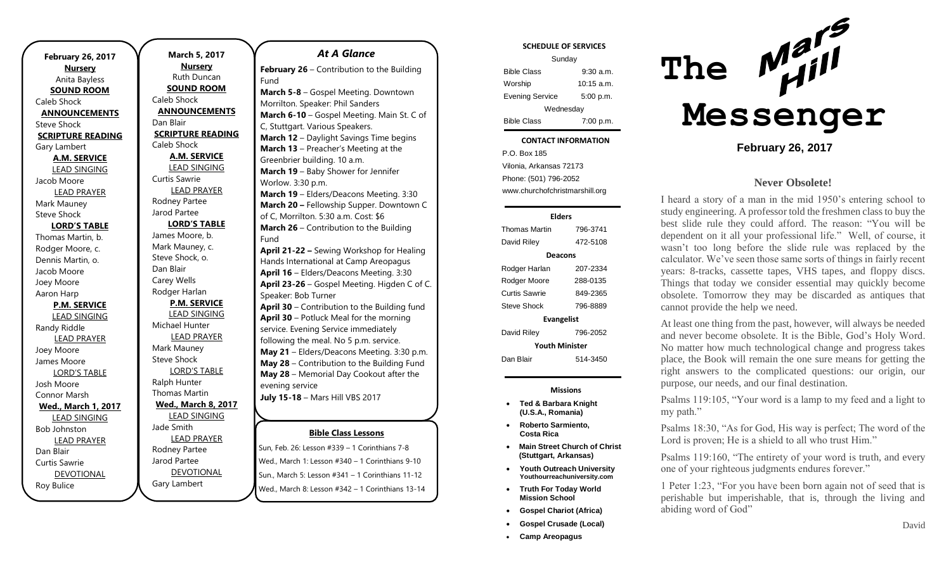| <b>February 26, 2017</b> |
|--------------------------|
| <b>Nursery</b>           |
| Anita Bayless            |
| <b>SOUND ROOM</b>        |
| Caleb Shock              |
| <b>ANNOUNCEMENTS</b>     |
| <b>Steve Shock</b>       |
| <b>SCRIPTURE READING</b> |
| Gary Lambert             |
| <b>A.M. SERVICE</b>      |
| <b>LEAD SINGING</b>      |
| Jacob Moore              |
| <b>LEAD PRAYER</b>       |
| Mark Mauney              |
| <b>Steve Shock</b>       |
| <b>LORD'S TABLE</b>      |
| Thomas Martin, b.        |
| Rodger Moore, c.         |
| Dennis Martin, o.        |
| Jacob Moore              |
| Joey Moore               |
| Aaron Harp               |
| <b>P.M. SERVICE</b>      |
| <b>LEAD SINGING</b>      |
| Randy Riddle             |
| <b>LEAD PRAYER</b>       |
| Joey Moore               |
| James Moore              |
| <b>LORD'S TABLE</b>      |
| Josh Moore               |
| Connor Marsh             |
| Wed., March 1, 2017      |
| <b>LEAD SINGING</b>      |
| <b>Bob Johnston</b>      |
| <b>LEAD PRAYER</b>       |
| Dan Blair                |
| <b>Curtis Sawrie</b>     |
| <b>DEVOTIONAL</b>        |
| Roy Bulice               |

**Nursery** Ruth Duncan **SOUND ROOM** Caleb Shock **ANNOUNCEMENTS** Dan Blair **SCRIPTURE READING** Caleb Shock **A.M. SERVICE** LEAD SINGING Curtis Sawrie LEAD PRAYER Rodney Partee Jarod Partee **LORD'S TABLE** James Moore, b. Mark Mauney, c. Steve Shock, o. Dan Blair Carey Wells Rodger Harlan **P.M. SERVICE** LEAD SINGING Michael Hunter LEAD PRAYER Mark Mauney Steve Shock LORD'S TABLE Ralph Hunter Thomas Martin **Wed., March 8, 2017** LEAD SINGING Jade Smith LEAD PRAYER Rodney Partee Jarod Partee

DEVOTIONAL

Gary Lambert

**March 5, 2017**

#### **Bible Class Lessons** Sun, Feb. 26: Lesson #339 – 1 Corinthians 7-8 *At A Glance*  **February 26** – Contribution to the Building Fund **March 5-8** – Gospel Meeting. Downtown Morrilton. Speaker: Phil Sanders **March 6-10** – Gospel Meeting. Main St. C of C, Stuttgart. Various Speakers. **March 12** – Daylight Savings Time begins **March 13** – Preacher's Meeting at the Greenbrier building. 10 a.m. **March 19** – Baby Shower for Jennifer Worlow. 3:30 p.m. **March 19** – Elders/Deacons Meeting. 3:30 **March 20 –** Fellowship Supper. Downtown C of C, Morrilton. 5:30 a.m. Cost: \$6 **March 26** – Contribution to the Building Fund **April 21-22 –** Sewing Workshop for Healing Hands International at Camp Areopagus **April 16** – Elders/Deacons Meeting. 3:30 **April 23-26** – Gospel Meeting. Higden C of C. Speaker: Bob Turner **April 30** – Contribution to the Building fund **April 30** – Potluck Meal for the morning service. Evening Service immediately following the meal. No 5 p.m. service. **May 21** – Elders/Deacons Meeting. 3:30 p.m. **May 28** – Contribution to the Building Fund **May 28** – Memorial Day Cookout after the evening service **July 15-18** – Mars Hill VBS 2017

Wed., March 1: Lesson #340 – 1 Corinthians 9-10 Sun., March 5: Lesson #341 – 1 Corinthians 11-12 Wed., March 8: Lesson #342 – 1 Corinthians 13-14

|                                | Sunday                     |  |
|--------------------------------|----------------------------|--|
| <b>Bible Class</b>             | $9:30$ a.m.                |  |
| Worship                        | $10:15$ a.m.               |  |
| <b>Evening Service</b>         | 5:00 p.m.                  |  |
| Wednesday                      |                            |  |
| <b>Bible Class</b>             | 7:00 p.m.                  |  |
|                                | <b>CONTACT INFORMATION</b> |  |
| P.O. Box 185                   |                            |  |
| Vilonia, Arkansas 72173        |                            |  |
| Phone: (501) 796-2052          |                            |  |
| www.churchofchristmarshill.org |                            |  |
|                                |                            |  |
| <b>Elders</b>                  |                            |  |
| <b>Thomas Martin</b>           | 796-3741                   |  |
| David Riley                    | 472-5108                   |  |
| <b>Deacons</b>                 |                            |  |
| Rodger Harlan                  | 207-2334                   |  |
| Rodger Moore                   | 288-0135                   |  |
| <b>Curtis Sawrie</b>           | 849-2365                   |  |
| Steve Shock                    | 796-8889                   |  |
| <b>Evangelist</b>              |                            |  |
| David Riley                    | 796-2052                   |  |
| <b>Vouth Minister</b>          |                            |  |

**SCHEDULE OF SERVICES**

Dan Blair 514-3450

#### **Missions**

- **Ted & Barbara Knight (U.S.A., Romania)**
- **Roberto Sarmiento, Costa Rica**
- **Main Street Church of Christ (Stuttgart, Arkansas)**
- **Youth Outreach University Youthourreachuniversity.com**
- **Truth For Today World Mission School**
- **Gospel Chariot (Africa)**
- **Gospel Crusade (Local)**
- **Camp Areopagus**



**February 26, 2017**

#### **Never Obsolete!**

I heard a story of a man in the mid 1950's entering school to study engineering. A professor told the freshmen class to buy the best slide rule they could afford. The reason: "You will be dependent on it all your professional life." Well, of course, it wasn't too long before the slide rule was replaced by the calculator. We've seen those same sorts of things in fairly recent years: 8-tracks, cassette tapes, VHS tapes, and floppy discs. Things that today we consider essential may quickly become obsolete. Tomorrow they may be discarded as antiques that cannot provide the help we need.

At least one thing from the past, however, will always be needed and never become obsolete. It is the Bible, God's Holy Word. No matter how much technological change and progress takes place, the Book will remain the one sure means for getting the right answers to the complicated questions: our origin, our purpose, our needs, and our final destination.

Psalms 119:105, "Your word is a lamp to my feed and a light to my path."

Psalms 18:30, "As for God, His way is perfect; The word of the Lord is proven; He is a shield to all who trust Him."

Psalms 119:160, "The entirety of your word is truth, and every one of your righteous judgments endures forever."

1 Peter 1:23, "For you have been born again not of seed that is perishable but imperishable, that is, through the living and abiding word of God"